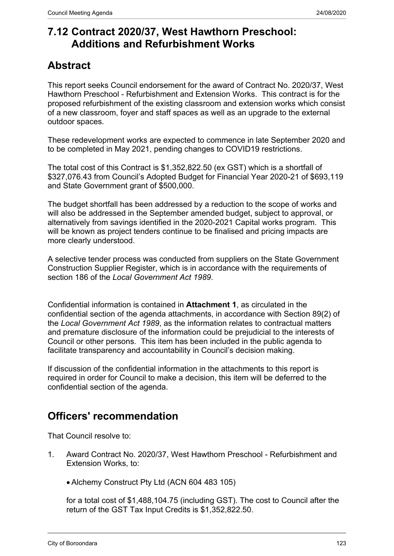## **7.12 Contract 2020/37, West Hawthorn Preschool: Additions and Refurbishment Works**

## **Abstract**

This report seeks Council endorsement for the award of Contract No. 2020/37, West Hawthorn Preschool - Refurbishment and Extension Works. This contract is for the proposed refurbishment of the existing classroom and extension works which consist of a new classroom, foyer and staff spaces as well as an upgrade to the external outdoor spaces.

These redevelopment works are expected to commence in late September 2020 and to be completed in May 2021, pending changes to COVID19 restrictions.

The total cost of this Contract is \$1,352,822.50 (ex GST) which is a shortfall of \$327,076.43 from Council's Adopted Budget for Financial Year 2020-21 of \$693,119 and State Government grant of \$500,000.

The budget shortfall has been addressed by a reduction to the scope of works and will also be addressed in the September amended budget, subject to approval, or alternatively from savings identified in the 2020-2021 Capital works program. This will be known as project tenders continue to be finalised and pricing impacts are more clearly understood.

A selective tender process was conducted from suppliers on the State Government Construction Supplier Register, which is in accordance with the requirements of section 186 of the *Local Government Act 1989*.

Confidential information is contained in **Attachment 1**, as circulated in the confidential section of the agenda attachments, in accordance with Section 89(2) of the *Local Government Act 1989*, as the information relates to contractual matters and premature disclosure of the information could be prejudicial to the interests of Council or other persons. This item has been included in the public agenda to facilitate transparency and accountability in Council's decision making.

If discussion of the confidential information in the attachments to this report is required in order for Council to make a decision, this item will be deferred to the confidential section of the agenda.

## **Officers' recommendation**

That Council resolve to:

- 1. Award Contract No. 2020/37, West Hawthorn Preschool Refurbishment and Extension Works, to:
	- Alchemy Construct Pty Ltd (ACN 604 483 105)

for a total cost of \$1,488,104.75 (including GST). The cost to Council after the return of the GST Tax Input Credits is \$1,352,822.50.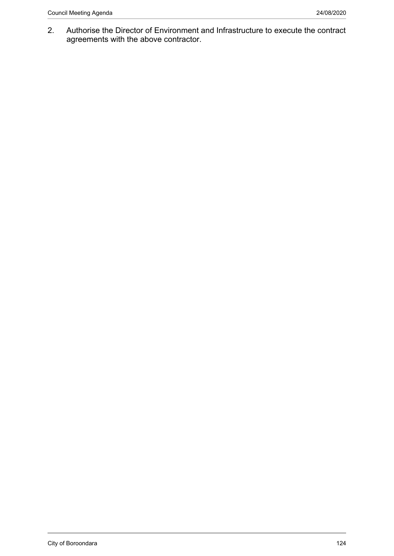2. Authorise the Director of Environment and Infrastructure to execute the contract agreements with the above contractor.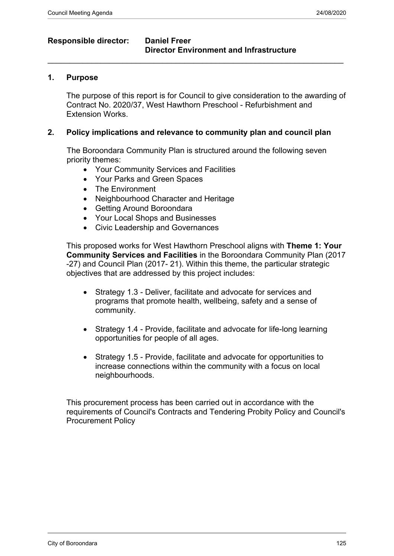### **Responsible director: Daniel Freer**

# **Director Environment and Infrastructure**

#### **1. Purpose**

The purpose of this report is for Council to give consideration to the awarding of Contract No. 2020/37, West Hawthorn Preschool - Refurbishment and Extension Works.

#### **2. Policy implications and relevance to community plan and council plan**

 $\_$  , and the set of the set of the set of the set of the set of the set of the set of the set of the set of the set of the set of the set of the set of the set of the set of the set of the set of the set of the set of th

The Boroondara Community Plan is structured around the following seven priority themes:

- Your Community Services and Facilities
- Your Parks and Green Spaces
- The Environment
- Neighbourhood Character and Heritage
- Getting Around Boroondara
- Your Local Shops and Businesses
- Civic Leadership and Governances

This proposed works for West Hawthorn Preschool aligns with **Theme 1: Your Community Services and Facilities** in the Boroondara Community Plan (2017 -27) and Council Plan (2017- 21). Within this theme, the particular strategic objectives that are addressed by this project includes:

- Strategy 1.3 Deliver, facilitate and advocate for services and programs that promote health, wellbeing, safety and a sense of community.
- Strategy 1.4 Provide, facilitate and advocate for life-long learning opportunities for people of all ages.
- Strategy 1.5 Provide, facilitate and advocate for opportunities to increase connections within the community with a focus on local neighbourhoods.

This procurement process has been carried out in accordance with the requirements of Council's Contracts and Tendering Probity Policy and Council's Procurement Policy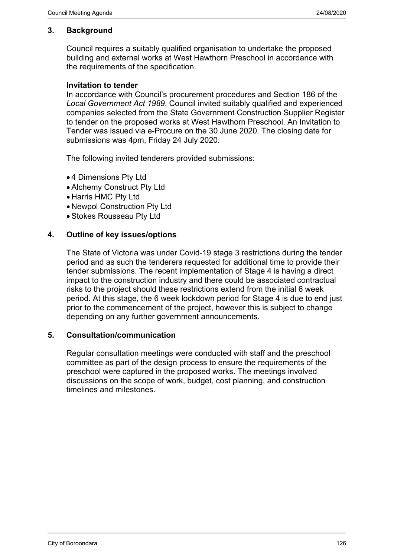#### **3. Background**

Council requires a suitably qualified organisation to undertake the proposed building and external works at West Hawthorn Preschool in accordance with the requirements of the specification.

#### **Invitation to tender**

In accordance with Council's procurement procedures and Section 186 of the *Local Government Act 1989*, Council invited suitably qualified and experienced companies selected from the State Government Construction Supplier Register to tender on the proposed works at West Hawthorn Preschool. An Invitation to Tender was issued via e-Procure on the 30 June 2020. The closing date for submissions was 4pm, Friday 24 July 2020.

The following invited tenderers provided submissions:

- 4 Dimensions Pty Ltd
- Alchemy Construct Pty Ltd
- Harris HMC Pty Ltd
- Newpol Construction Pty Ltd
- Stokes Rousseau Pty Ltd

#### **4. Outline of key issues/options**

The State of Victoria was under Covid-19 stage 3 restrictions during the tender period and as such the tenderers requested for additional time to provide their tender submissions. The recent implementation of Stage 4 is having a direct impact to the construction industry and there could be associated contractual risks to the project should these restrictions extend from the initial 6 week period. At this stage, the 6 week lockdown period for Stage 4 is due to end just prior to the commencement of the project, however this is subject to change depending on any further government announcements.

#### **5. Consultation/communication**

Regular consultation meetings were conducted with staff and the preschool committee as part of the design process to ensure the requirements of the preschool were captured in the proposed works. The meetings involved discussions on the scope of work, budget, cost planning, and construction timelines and milestones.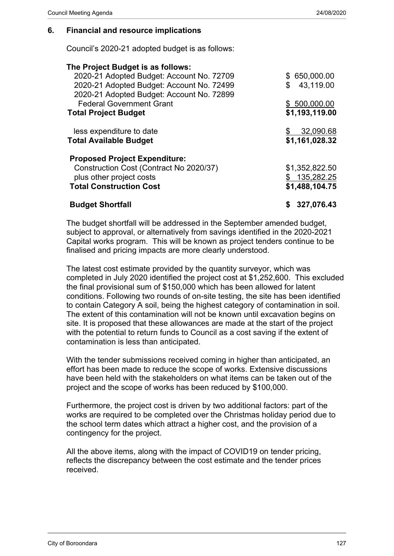#### **6. Financial and resource implications**

Council's 2020-21 adopted budget is as follows:

| \$650,000.00   |
|----------------|
| 43,119.00<br>S |
| \$500,000.00   |
| \$1,193,119.00 |
| 32,090.68      |
| \$1,161,028.32 |
|                |
| \$1,352,822.50 |
| \$135,282.25   |
| \$1,488,104.75 |
| 327,076.43     |
|                |

The budget shortfall will be addressed in the September amended budget, subject to approval, or alternatively from savings identified in the 2020-2021 Capital works program. This will be known as project tenders continue to be finalised and pricing impacts are more clearly understood.

The latest cost estimate provided by the quantity surveyor, which was completed in July 2020 identified the project cost at \$1,252,600. This excluded the final provisional sum of \$150,000 which has been allowed for latent conditions. Following two rounds of on-site testing, the site has been identified to contain Category A soil, being the highest category of contamination in soil. The extent of this contamination will not be known until excavation begins on site. It is proposed that these allowances are made at the start of the project with the potential to return funds to Council as a cost saving if the extent of contamination is less than anticipated.

With the tender submissions received coming in higher than anticipated, an effort has been made to reduce the scope of works. Extensive discussions have been held with the stakeholders on what items can be taken out of the project and the scope of works has been reduced by \$100,000.

Furthermore, the project cost is driven by two additional factors: part of the works are required to be completed over the Christmas holiday period due to the school term dates which attract a higher cost, and the provision of a contingency for the project.

All the above items, along with the impact of COVID19 on tender pricing, reflects the discrepancy between the cost estimate and the tender prices received.